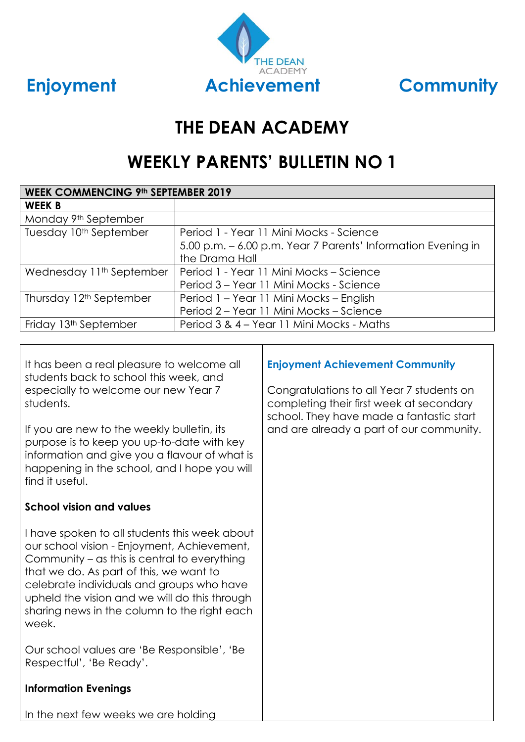

# **THE DEAN ACADEMY**

# **WEEKLY PARENTS' BULLETIN NO 1**

| <b>WEEK COMMENCING 9th SEPTEMBER 2019</b> |                                                              |  |
|-------------------------------------------|--------------------------------------------------------------|--|
| <b>WEEK B</b>                             |                                                              |  |
| Monday 9th September                      |                                                              |  |
| Tuesday 10 <sup>th</sup> September        | Period 1 - Year 11 Mini Mocks - Science                      |  |
|                                           | 5.00 p.m. - 6.00 p.m. Year 7 Parents' Information Evening in |  |
|                                           | the Drama Hall                                               |  |
| Wednesday 11 <sup>th</sup> September      | Period 1 - Year 11 Mini Mocks - Science                      |  |
|                                           | Period 3 - Year 11 Mini Mocks - Science                      |  |
| Thursday 12 <sup>th</sup> September       | Period 1 - Year 11 Mini Mocks - English                      |  |
|                                           | Period 2 - Year 11 Mini Mocks - Science                      |  |
| Friday 13 <sup>th</sup> September         | Period 3 & 4 – Year 11 Mini Mocks - Maths                    |  |

It has been a real pleasure to welcome all students back to school this week, and especially to welcome our new Year 7 students.

If you are new to the weekly bulletin, its purpose is to keep you up-to-date with key information and give you a flavour of what is happening in the school, and I hope you will find it useful.

### **School vision and values**

I have spoken to all students this week about our school vision - Enjoyment, Achievement, Community – as this is central to everything that we do. As part of this, we want to celebrate individuals and groups who have upheld the vision and we will do this through sharing news in the column to the right each week.

Our school values are 'Be Responsible', 'Be Respectful', 'Be Ready'.

### **Information Evenings**

#### **Enjoyment Achievement Community**

Congratulations to all Year 7 students on completing their first week at secondary school. They have made a fantastic start and are already a part of our community.

In the next few weeks we are holding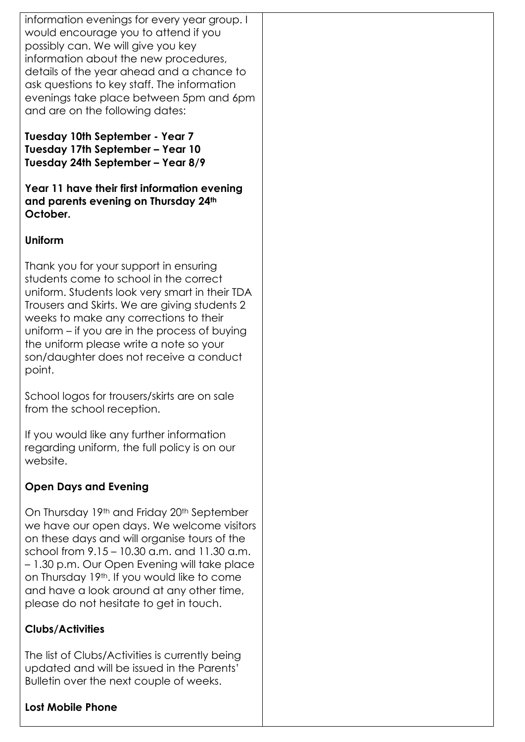information evenings for every year group. I would encourage you to attend if you possibly can. We will give you key information about the new procedures, details of the year ahead and a chance to ask questions to key staff. The information evenings take place between 5pm and 6pm and are on the following dates:

**Tuesday 10th September - Year 7 Tuesday 17th September – Year 10 Tuesday 24th September – Year 8/9**

**Year 11 have their first information evening and parents evening on Thursday 24th October.**

### **Uniform**

Thank you for your support in ensuring students come to school in the correct uniform. Students look very smart in their TDA Trousers and Skirts. We are giving students 2 weeks to make any corrections to their uniform – if you are in the process of buying the uniform please write a note so your son/daughter does not receive a conduct point.

School logos for trousers/skirts are on sale from the school reception.

If you would like any further information regarding uniform, the full policy is on our website.

### **Open Days and Evening**

On Thursday 19th and Friday 20th September we have our open days. We welcome visitors on these days and will organise tours of the school from 9.15 – 10.30 a.m. and 11.30 a.m. – 1.30 p.m. Our Open Evening will take place on Thursday 19th. If you would like to come and have a look around at any other time, please do not hesitate to get in touch.

#### **Clubs/Activities**

The list of Clubs/Activities is currently being updated and will be issued in the Parents' Bulletin over the next couple of weeks.

#### **Lost Mobile Phone**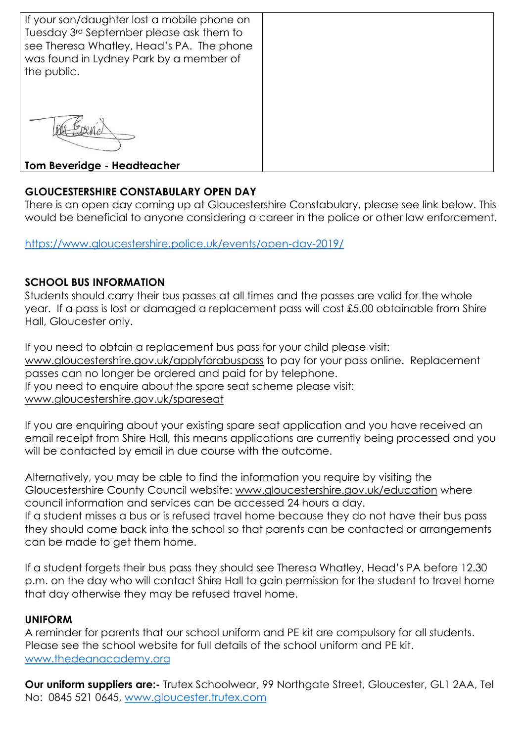| If your son/daughter lost a mobile phone on                                          |  |
|--------------------------------------------------------------------------------------|--|
| Tuesday 3rd September please ask them to                                             |  |
| see Theresa Whatley, Head's PA. The phone<br>was found in Lydney Park by a member of |  |
|                                                                                      |  |
| the public.                                                                          |  |
|                                                                                      |  |
|                                                                                      |  |
|                                                                                      |  |
|                                                                                      |  |
|                                                                                      |  |
|                                                                                      |  |
|                                                                                      |  |
|                                                                                      |  |
|                                                                                      |  |
| <b>Tom Beveridge - Headteacher</b>                                                   |  |

## **GLOUCESTERSHIRE CONSTABULARY OPEN DAY**

There is an open day coming up at Gloucestershire Constabulary, please see link below. This would be beneficial to anyone considering a career in the police or other law enforcement.

<https://www.gloucestershire.police.uk/events/open-day-2019/>

### **SCHOOL BUS INFORMATION**

Students should carry their bus passes at all times and the passes are valid for the whole year. If a pass is lost or damaged a replacement pass will cost £5.00 obtainable from Shire Hall, Gloucester only.

If you need to obtain a replacement bus pass for your child please visit: [www.gloucestershire.gov.uk/applyforabuspass](http://www.gloucestershire.gov.uk/applyforabuspass) to pay for your pass online. Replacement passes can no longer be ordered and paid for by telephone. If you need to enquire about the spare seat scheme please visit: [www.gloucestershire.gov.uk/spareseat](http://www.gloucestershire.gov.uk/spareseat)

If you are enquiring about your existing spare seat application and you have received an email receipt from Shire Hall, this means applications are currently being processed and you will be contacted by email in due course with the outcome.

Alternatively, you may be able to find the information you require by visiting the Gloucestershire County Council website: [www.gloucestershire.gov.uk/education](http://www.gloucestershire.gov.uk/education) where council information and services can be accessed 24 hours a day. If a student misses a bus or is refused travel home because they do not have their bus pass they should come back into the school so that parents can be contacted or arrangements can be made to get them home.

If a student forgets their bus pass they should see Theresa Whatley, Head's PA before 12.30 p.m. on the day who will contact Shire Hall to gain permission for the student to travel home that day otherwise they may be refused travel home.

#### **UNIFORM**

A reminder for parents that our school uniform and PE kit are compulsory for all students. Please see the school website for full details of the school uniform and PE kit. [www.thedeanacademy.org](http://www.thedeanacademy.org/)

**Our uniform suppliers are:-** Trutex Schoolwear, 99 Northgate Street, Gloucester, GL1 2AA, Tel No: 0845 521 0645, [www.gloucester.trutex.com](http://www.gloucester.trutex.com/)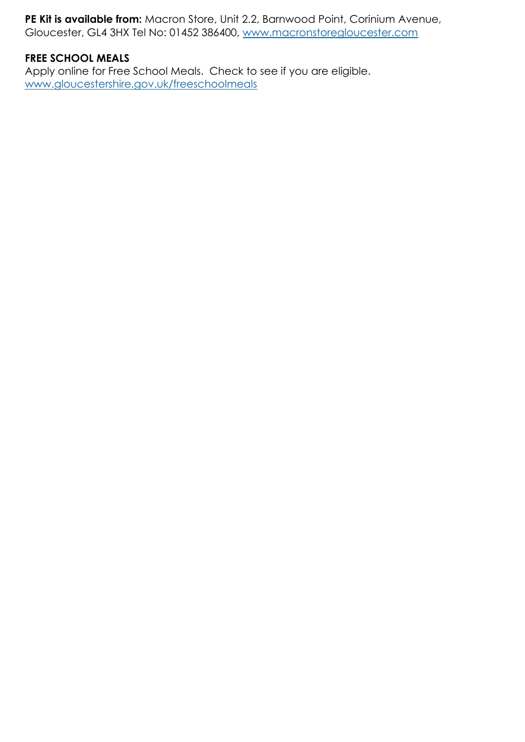**PE Kit is available from:** Macron Store, Unit 2.2, Barnwood Point, Corinium Avenue, Gloucester, GL4 3HX Tel No: 01452 386400, [www.macronstoregloucester.com](http://www.macronstoregloucester.com/)

## **FREE SCHOOL MEALS**

Apply online for Free School Meals. Check to see if you are eligible. [www.gloucestershire.gov.uk/freeschoolmeals](http://www.gloucestershire.gov.uk/freeschoolmeals)